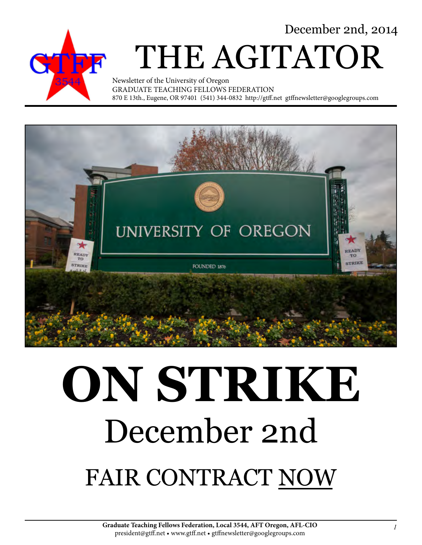December 2nd, 2014



# THE AGITATOR

Newsletter of the University of Oregon GRADUATE TEACHING FELLOWS FEDERATION 870 E 13th., Eugene, OR 97401 (541) 344-0832 http://gtff.net gtffnewsletter@googlegroups.com



# **ON STRIKE** December 2nd FAIR CONTRACT NOW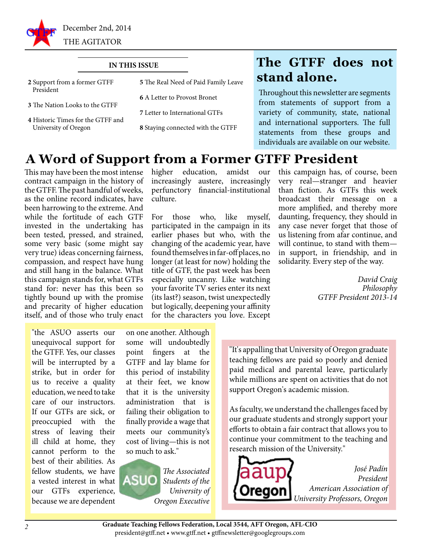

#### **IN THIS ISSUE**

| 2 Support from a former GTFF<br>President                 | 5 The Real Need of Paid Family Leave |
|-----------------------------------------------------------|--------------------------------------|
|                                                           | <b>6 A Letter to Provost Bronet</b>  |
| <b>3</b> The Nation Looks to the GTFF                     | 7 Letter to International GTFs       |
| 4 Historic Times for the GTFF and<br>University of Oregon | 8 Staying connected with the GTFF    |

### **The GTFF does not stand alone.**

Throughout this newsletter are segments from statements of support from a variety of community, state, national and international supporters. The full statements from these groups and individuals are available on our website.

#### **A Word of Support from a Former GTFF President**

This may have been the most intense contract campaign in the history of the GTFF. The past handful of weeks, as the online record indicates, have been harrowing to the extreme. And while the fortitude of each GTF invested in the undertaking has been tested, pressed, and strained, some very basic (some might say very true) ideas concerning fairness, compassion, and respect have hung and still hang in the balance. What this campaign stands for, what GTFs stand for: never has this been so tightly bound up with the promise and precarity of higher education itself, and of those who truly enact

higher education, amidst our increasingly austere, increasingly perfunctory financial-institutional culture.

For those who, like myself, participated in the campaign in its earlier phases but who, with the changing of the academic year, have found themselves in far-off places, no longer (at least for now) holding the title of GTF, the past week has been especially uncanny. Like watching your favorite TV series enter its next (its last?) season, twist unexpectedly but logically, deepening your affinity for the characters you love. Except

this campaign has, of course, been very real—stranger and heavier than fiction. As GTFs this week broadcast their message on a more amplified, and thereby more daunting, frequency, they should in any case never forget that those of us listening from afar continue, and will continue, to stand with them in support, in friendship, and in solidarity. Every step of the way.

> *David Craig Philosophy GTFF President 2013-14*

"the ASUO asserts our unequivocal support for the GTFF. Yes, our classes will be interrupted by a strike, but in order for us to receive a quality education, we need to take care of our instructors. If our GTFs are sick, or preoccupied with the stress of leaving their ill child at home, they cannot perform to the best of their abilities. As fellow students, we have a vested interest in what our GTFs experience, because we are dependent

on one another. Although some will undoubtedly point fingers at the GTFF and lay blame for this period of instability at their feet, we know that it is the university administration that is failing their obligation to finally provide a wage that meets our community's cost of living—this is not so much to ask."



"It's appalling that University of Oregon graduate teaching fellows are paid so poorly and denied paid medical and parental leave, particularly while millions are spent on activities that do not support Oregon's academic mission.

As faculty, we understand the challenges faced by our graduate students and strongly support your efforts to obtain a fair contract that allows you to continue your commitment to the teaching and research mission of the University."



*José Padín President American Association of University Professors, Oregon*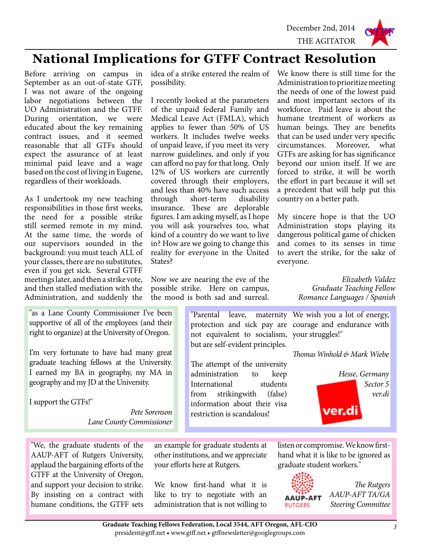

### **National Implications for GTFF Contract Resolution**

Before arriving on campus in September as an out-of-state GTF, I was not aware of the ongoing labor negotiations between the UO Administration and the GTFF. During orientation, we were educated about the key remaining contract issues, and it seemed reasonable that all GTFs should expect the assurance of at least minimal paid leave and a wage based on the cost of living in Eugene, regardless of their workloads.

As I undertook my new teaching responsibilities in those first weeks, the need for a possible strike still seemed remote in my mind. At the same time, the words of our supervisors sounded in the background: you must teach ALL of your classes, there are no substitutes, even if you get sick. Several GTFF meetings later, and then a strike vote, and then stalled mediation with the Administration, and suddenly the

"as a Lane County Commissioner I've been supportive of all of the employees (and their right to organize) at the University of Oregon.

I'm very fortunate to have had many great graduate teaching fellows at the University. I earned my BA in geography, my MA in geography and my JD at the University.

I support the GTFs!"

*Pete Sorenson Lane County Commissioner*

"We, the graduate students of the AAUP-AFT of Rutgers University, applaud the bargaining efforts of the GTFF at the University of Oregon, and support your decision to strike. By insisting on a contract with humane conditions, the GTFF sets

possibility.

I recently looked at the parameters of the unpaid federal Family and Medical Leave Act (FMLA), which applies to fewer than 50% of US workers. It includes twelve weeks of unpaid leave, if you meet its very narrow guidelines, and only if you can afford no pay for that long. Only 12% of US workers are currently covered through their employers, and less than 40% have such access through short-term disability insurance. These are deplorable figures. I am asking myself, as I hope you will ask yourselves too, what kind of a country do we want to live in? How are we going to change this reality for everyone in the United States?

Now we are nearing the eve of the possible strike. Here on campus, the mood is both sad and surreal.

idea of a strike entered the realm of We know there is still time for the Administration to prioritize meeting the needs of one of the lowest paid and most important sectors of its workforce. Paid leave is about the humane treatment of workers as human beings. They are benefits that can be used under very specific<br>circumstances. Moreover. what circumstances. Moreover, what GTFs are asking for has significance beyond our union itself. If we are forced to strike, it will be worth the effort in part because it will set a precedent that will help put this country on a better path.

> My sincere hope is that the UO Administration stops playing its dangerous political game of chicken and comes to its senses in time to avert the strike, for the sake of everyone.

> > *Elizabeth Valdez Graduate Teaching Fellow Romance Languages / Spanish*

"Parental leave, maternity We wish you a lot of energy, protection and sick pay are courage and endurance with not equivalent to socialism, your struggles!" but are self-evident principles.

The attempt of the university administration to keep International students from strikingwith (false) information about their visa restriction is scandalous!

*Thomas Winhold & Mark Wiebe*



an example for graduate students at other institutions, and we appreciate your efforts here at Rutgers.

We know first-hand what it is like to try to negotiate with an administration that is not willing to listen or compromise. We know firsthand what it is like to be ignored as graduate student workers."



*The Rutgers AAUP-AFT TA/GA Steering Committee*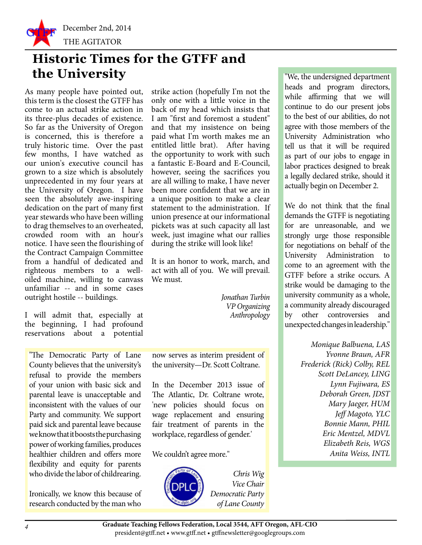

## **Historic Times for the GTFF and the University** TWe, the undersigned department

As many people have pointed out, this term is the closest the GTFF has come to an actual strike action in its three-plus decades of existence. So far as the University of Oregon is concerned, this is therefore a truly historic time. Over the past few months, I have watched as our union's executive council has grown to a size which is absolutely unprecedented in my four years at the University of Oregon. I have seen the absolutely awe-inspiring dedication on the part of many first year stewards who have been willing to drag themselves to an overheated, crowded room with an hour's notice. I have seen the flourishing of the Contract Campaign Committee from a handful of dedicated and righteous members to a welloiled machine, willing to canvass unfamiliar -- and in some cases outright hostile -- buildings.

I will admit that, especially at the beginning, I had profound reservations about a potential

"The Democratic Party of Lane County believes that the university's refusal to provide the members of your union with basic sick and parental leave is unacceptable and inconsistent with the values of our Party and community. We support paid sick and parental leave because we know that it boosts the purchasing power of working families, produces healthier children and offers more flexibility and equity for parents who divide the labor of childrearing.

Ironically, we know this because of research conducted by the man who

strike action (hopefully I'm not the only one with a little voice in the back of my head which insists that I am "first and foremost a student" and that my insistence on being paid what I'm worth makes me an entitled little brat). After having the opportunity to work with such a fantastic E-Board and E-Council, however, seeing the sacrifices you are all willing to make, I have never been more confident that we are in a unique position to make a clear statement to the administration. If union presence at our informational pickets was at such capacity all last week, just imagine what our rallies during the strike will look like!

It is an honor to work, march, and act with all of you. We will prevail. We must.

> *Jonathan Turbin VP Organizing Anthropology*

now serves as interim president of the university—Dr. Scott Coltrane.

In the December 2013 issue of The Atlantic, Dr. Coltrane wrote, 'new policies should focus on wage replacement and ensuring fair treatment of parents in the workplace, regardless of gender.'

We couldn't agree more."



*Chris Wig Vice Chair Democratic Party of Lane County* heads and program directors, while affirming that we will continue to do our present jobs to the best of our abilities, do not agree with those members of the University Administration who tell us that it will be required as part of our jobs to engage in labor practices designed to break a legally declared strike, should it actually begin on December 2.

We do not think that the final demands the GTFF is negotiating for are unreasonable, and we strongly urge those responsible for negotiations on behalf of the University Administration to come to an agreement with the GTFF before a strike occurs. A strike would be damaging to the university community as a whole, a community already discouraged by other controversies and unexpected changes in leadership."

> *Monique Balbuena, LAS Yvonne Braun, AFR Frederick (Rick) Colby, REL Scott DeLancey, LING Lynn Fujiwara, ES Deborah Green, JDST Mary Jaeger, HUM Jeff Magoto, YLC Bonnie Mann, PHIL Eric Mentzel, MDVL Elizabeth Reis, WGS Anita Weiss, INTL*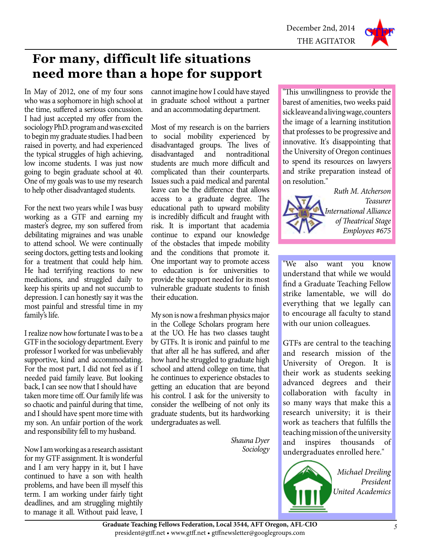

## **For many, difficult life situations need more than a hope for support**

In May of 2012, one of my four sons who was a sophomore in high school at the time, suffered a serious concussion. I had just accepted my offer from the sociology PhD. program and was excited to begin my graduate studies. I had been raised in poverty, and had experienced the typical struggles of high achieving, low income students. I was just now going to begin graduate school at 40. One of my goals was to use my research to help other disadvantaged students.

For the next two years while I was busy working as a GTF and earning my master's degree, my son suffered from debilitating migraines and was unable to attend school. We were continually seeing doctors, getting tests and looking for a treatment that could help him. He had terrifying reactions to new medications, and struggled daily to keep his spirits up and not succumb to depression. I can honestly say it was the most painful and stressful time in my family's life.

I realize now how fortunate I was to be a GTF in the sociology department. Every professor I worked for was unbelievably supportive, kind and accommodating. For the most part, I did not feel as if I needed paid family leave. But looking back, I can see now that I should have taken more time off. Our family life was so chaotic and painful during that time, and I should have spent more time with my son. An unfair portion of the work and responsibility fell to my husband.

Now I am working as a research assistant for my GTF assignment. It is wonderful and I am very happy in it, but I have continued to have a son with health problems, and have been ill myself this term. I am working under fairly tight deadlines, and am struggling mightily to manage it all. Without paid leave, I

cannot imagine how I could have stayed in graduate school without a partner and an accommodating department.

Most of my research is on the barriers to social mobility experienced by disadvantaged groups. The lives of disadvantaged and nontraditional students are much more difficult and complicated than their counterparts. Issues such a paid medical and parental leave can be the difference that allows access to a graduate degree. The educational path to upward mobility is incredibly difficult and fraught with risk. It is important that academia continue to expand our knowledge of the obstacles that impede mobility and the conditions that promote it. One important way to promote access to education is for universities to provide the support needed for its most vulnerable graduate students to finish their education.

My son is now a freshman physics major in the College Scholars program here at the UO. He has two classes taught by GTFs. It is ironic and painful to me that after all he has suffered, and after how hard he struggled to graduate high school and attend college on time, that he continues to experience obstacles to getting an education that are beyond his control. I ask for the university to consider the wellbeing of not only its graduate students, but its hardworking undergraduates as well.

> *Shauna Dyer Sociology*

"This unwillingness to provide the barest of amenities, two weeks paid sick leave and a living wage, counters the image of a learning institution that professes to be progressive and innovative. It's disappointing that the University of Oregon continues to spend its resources on lawyers and strike preparation instead of on resolution."



"We also want you know understand that while we would find a Graduate Teaching Fellow strike lamentable, we will do everything that we legally can to encourage all faculty to stand with our union colleagues.

GTFs are central to the teaching and research mission of the University of Oregon. It is their work as students seeking advanced degrees and their collaboration with faculty in so many ways that make this a research university; it is their work as teachers that fulfills the teaching mission of the university and inspires thousands of undergraduates enrolled here."

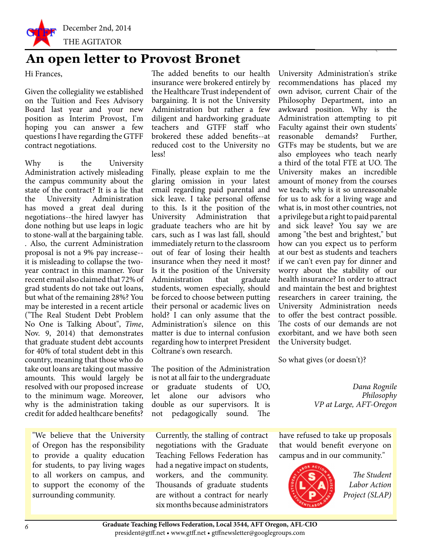

#### **An open letter to Provost Bronet**

Hi Frances,

Given the collegiality we established on the Tuition and Fees Advisory Board last year and your new position as Interim Provost, I'm hoping you can answer a few questions I have regarding the GTFF contract negotiations.

Why is the University Administration actively misleading the campus community about the state of the contract? It is a lie that the University Administration has moved a great deal during negotiations--the hired lawyer has done nothing but use leaps in logic to stone-wall at the bargaining table. . Also, the current Administration proposal is not a 9% pay increase- it is misleading to collapse the twoyear contract in this manner. Your recent email also claimed that 72% of grad students do not take out loans, but what of the remaining 28%? You may be interested in a recent article ("The Real Student Debt Problem No One is Talking About", *Time*, Nov. 9, 2014) that demonstrates that graduate student debt accounts for 40% of total student debt in this country, meaning that those who do take out loans are taking out massive amounts. This would largely be resolved with our proposed increase to the minimum wage. Moreover, why is the administration taking credit for added healthcare benefits?

"We believe that the University of Oregon has the responsibility to provide a quality education for students, to pay living wages to all workers on campus, and to support the economy of the surrounding community.

The added benefits to our health insurance were brokered entirely by the Healthcare Trust independent of bargaining. It is not the University Administration but rather a few diligent and hardworking graduate teachers and GTFF staff who brokered these added benefits--at reduced cost to the University no less!

Finally, please explain to me the glaring omission in your latest email regarding paid parental and sick leave. I take personal offense to this. Is it the position of the University Administration that graduate teachers who are hit by cars, such as I was last fall, should immediately return to the classroom out of fear of losing their health insurance when they need it most? Is it the position of the University Administration that graduate students, women especially, should be forced to choose between putting their personal or academic lives on hold? I can only assume that the Administration's silence on this matter is due to internal confusion regarding how to interpret President Coltrane's own research.

The position of the Administration is not at all fair to the undergraduate or graduate students of UO, let alone our advisors who double as our supervisors. It is not pedagogically sound. The

Currently, the stalling of contract negotiations with the Graduate Teaching Fellows Federation has had a negative impact on students, workers, and the community. Thousands of graduate students are without a contract for nearly six months because administrators University Administration's strike recommendations has placed my own advisor, current Chair of the Philosophy Department, into an awkward position. Why is the Administration attempting to pit Faculty against their own students' reasonable demands? Further, GTFs may be students, but we are also employees who teach nearly a third of the total FTE at UO. The University makes an incredible amount of money from the courses we teach; why is it so unreasonable for us to ask for a living wage and what is, in most other countries, not a privilege but a right to paid parental and sick leave? You say we are among "the best and brightest," but how can you expect us to perform at our best as students and teachers if we can't even pay for dinner and worry about the stability of our health insurance? In order to attract and maintain the best and brightest researchers in career training, the University Administration needs to offer the best contract possible. The costs of our demands are not exorbitant, and we have both seen the University budget.

So what gives (or doesn't)?

*Dana Rognile Philosophy VP at Large, AFT-Oregon*

have refused to take up proposals that would benefit everyone on campus and in our community."



*The Student Labor Action Project (SLAP)*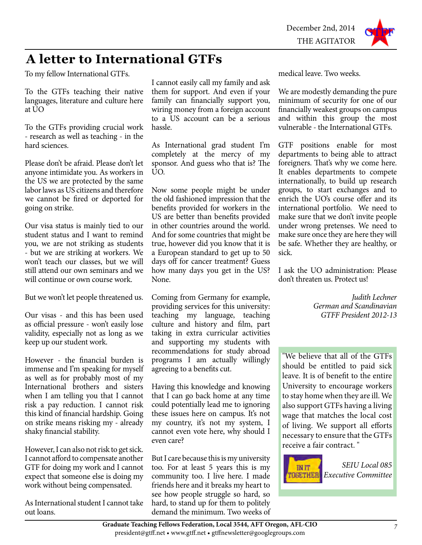# **A letter to International GTFs**

To my fellow International GTFs.

To the GTFs teaching their native languages, literature and culture here at UO

To the GTFs providing crucial work - research as well as teaching - in the hard sciences.

Please don't be afraid. Please don't let anyone intimidate you. As workers in the US we are protected by the same labor laws as US citizens and therefore we cannot be fired or deported for going on strike.

Our visa status is mainly tied to our student status and I want to remind you, we are not striking as students - but we are striking at workers. We won't teach our classes, but we will still attend our own seminars and we will continue or own course work.

But we won't let people threatened us.

Our visas - and this has been used as official pressure - won't easily lose validity, especially not as long as we keep up our student work.

However - the financial burden is immense and I'm speaking for myself as well as for probably most of my International brothers and sisters when I am telling you that I cannot risk a pay reduction. I cannot risk this kind of financial hardship. Going on strike means risking my - already shaky financial stability.

However, I can also not risk to get sick. I cannot afford to compensate another GTF for doing my work and I cannot expect that someone else is doing my work without being compensated.

As International student I cannot take out loans.

I cannot easily call my family and ask them for support. And even if your family can financially support you, wiring money from a foreign account to a US account can be a serious hassle.

As International grad student I'm completely at the mercy of my sponsor. And guess who that is? The UO.

Now some people might be under the old fashioned impression that the benefits provided for workers in the US are better than benefits provided in other countries around the world. And for some countries that might be true, however did you know that it is a European standard to get up to 50 days off for cancer treatment? Guess how many days you get in the US? None.

Coming from Germany for example, providing services for this university: teaching my language, teaching culture and history and film, part taking in extra curricular activities and supporting my students with recommendations for study abroad programs I am actually willingly agreeing to a benefits cut.

Having this knowledge and knowing that I can go back home at any time could potentially lead me to ignoring these issues here on campus. It's not my country, it's not my system, I cannot even vote here, why should I even care?

But I care because this is my university too. For at least 5 years this is my community too. I live here. I made friends here and it breaks my heart to see how people struggle so hard, so hard, to stand up for them to politely demand the minimum. Two weeks of

medical leave. Two weeks.

We are modestly demanding the pure minimum of security for one of our financially weakest groups on campus and within this group the most vulnerable - the International GTFs.

GTF positions enable for most departments to being able to attract foreigners. That's why we come here. It enables departments to compete internationally, to build up research groups, to start exchanges and to enrich the UO's course offer and its international portfolio. We need to make sure that we don't invite people under wrong pretenses. We need to make sure once they are here they will be safe. Whether they are healthy, or sick.

I ask the UO administration: Please don't threaten us. Protect us!

> *Judith Lechner German and Scandinavian GTFF President 2012-13*

"We believe that all of the GTFs should be entitled to paid sick leave. It is of benefit to the entire University to encourage workers to stay home when they are ill. We also support GTFs having a living wage that matches the local cost of living. We support all efforts necessary to ensure that the GTFs receive a fair contract. "